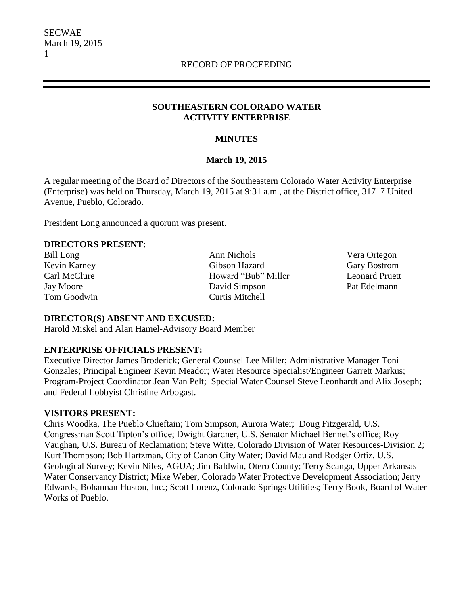#### **SOUTHEASTERN COLORADO WATER ACTIVITY ENTERPRISE**

#### **MINUTES**

#### **March 19, 2015**

A regular meeting of the Board of Directors of the Southeastern Colorado Water Activity Enterprise (Enterprise) was held on Thursday, March 19, 2015 at 9:31 a.m., at the District office, 31717 United Avenue, Pueblo, Colorado.

President Long announced a quorum was present.

#### **DIRECTORS PRESENT:**

Bill Long Ann Nichols Vera Ortegon Kevin Karney Gibson Hazard Gary Bostrom Carl McClure Howard "Bub" Miller Leonard Pruett Jay Moore David Simpson Pat Edelmann Tom Goodwin Curtis Mitchell

#### **DIRECTOR(S) ABSENT AND EXCUSED:**

Harold Miskel and Alan Hamel-Advisory Board Member

## **ENTERPRISE OFFICIALS PRESENT:**

Executive Director James Broderick; General Counsel Lee Miller; Administrative Manager Toni Gonzales; Principal Engineer Kevin Meador; Water Resource Specialist/Engineer Garrett Markus; Program-Project Coordinator Jean Van Pelt; Special Water Counsel Steve Leonhardt and Alix Joseph; and Federal Lobbyist Christine Arbogast.

#### **VISITORS PRESENT:**

Chris Woodka, The Pueblo Chieftain; Tom Simpson, Aurora Water; Doug Fitzgerald, U.S. Congressman Scott Tipton's office; Dwight Gardner, U.S. Senator Michael Bennet's office; Roy Vaughan, U.S. Bureau of Reclamation; Steve Witte, Colorado Division of Water Resources-Division 2; Kurt Thompson; Bob Hartzman, City of Canon City Water; David Mau and Rodger Ortiz, U.S. Geological Survey; Kevin Niles, AGUA; Jim Baldwin, Otero County; Terry Scanga, Upper Arkansas Water Conservancy District; Mike Weber, Colorado Water Protective Development Association; Jerry Edwards, Bohannan Huston, Inc.; Scott Lorenz, Colorado Springs Utilities; Terry Book, Board of Water Works of Pueblo.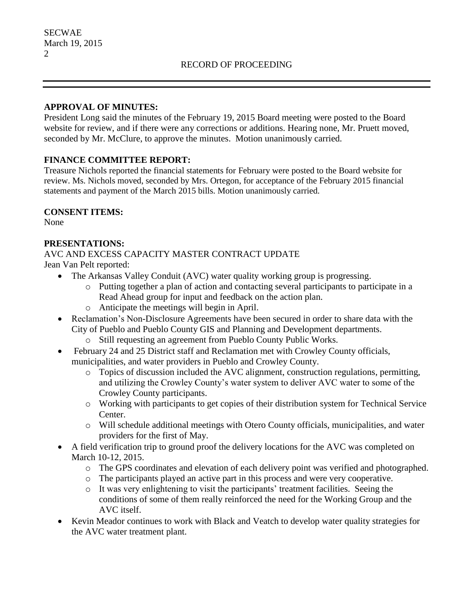#### **APPROVAL OF MINUTES:**

President Long said the minutes of the February 19, 2015 Board meeting were posted to the Board website for review, and if there were any corrections or additions. Hearing none, Mr. Pruett moved, seconded by Mr. McClure, to approve the minutes. Motion unanimously carried.

## **FINANCE COMMITTEE REPORT:**

Treasure Nichols reported the financial statements for February were posted to the Board website for review. Ms. Nichols moved, seconded by Mrs. Ortegon, for acceptance of the February 2015 financial statements and payment of the March 2015 bills. Motion unanimously carried.

## **CONSENT ITEMS:**

None

## **PRESENTATIONS:**

AVC AND EXCESS CAPACITY MASTER CONTRACT UPDATE

Jean Van Pelt reported:

- The Arkansas Valley Conduit (AVC) water quality working group is progressing.
	- o Putting together a plan of action and contacting several participants to participate in a Read Ahead group for input and feedback on the action plan.
	- o Anticipate the meetings will begin in April.
- Reclamation's Non-Disclosure Agreements have been secured in order to share data with the City of Pueblo and Pueblo County GIS and Planning and Development departments.
	- o Still requesting an agreement from Pueblo County Public Works.
- February 24 and 25 District staff and Reclamation met with Crowley County officials, municipalities, and water providers in Pueblo and Crowley County.
	- o Topics of discussion included the AVC alignment, construction regulations, permitting, and utilizing the Crowley County's water system to deliver AVC water to some of the Crowley County participants.
	- o Working with participants to get copies of their distribution system for Technical Service Center.
	- o Will schedule additional meetings with Otero County officials, municipalities, and water providers for the first of May.
- A field verification trip to ground proof the delivery locations for the AVC was completed on March 10-12, 2015.
	- o The GPS coordinates and elevation of each delivery point was verified and photographed.
	- o The participants played an active part in this process and were very cooperative.
	- o It was very enlightening to visit the participants' treatment facilities. Seeing the conditions of some of them really reinforced the need for the Working Group and the AVC itself.
- Kevin Meador continues to work with Black and Veatch to develop water quality strategies for the AVC water treatment plant.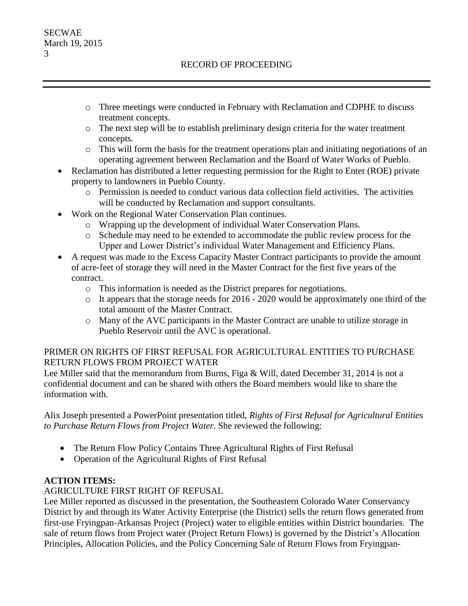- o Three meetings were conducted in February with Reclamation and CDPHE to discuss treatment concepts.
- o The next step will be to establish preliminary design criteria for the water treatment concepts.
- $\circ$  This will form the basis for the treatment operations plan and initiating negotiations of an operating agreement between Reclamation and the Board of Water Works of Pueblo.
- Reclamation has distributed a letter requesting permission for the Right to Enter (ROE) private property to landowners in Pueblo County.
	- o Permission is needed to conduct various data collection field activities. The activities will be conducted by Reclamation and support consultants.
- Work on the Regional Water Conservation Plan continues.
	- o Wrapping up the development of individual Water Conservation Plans.
	- o Schedule may need to be extended to accommodate the public review process for the Upper and Lower District's individual Water Management and Efficiency Plans.
- A request was made to the Excess Capacity Master Contract participants to provide the amount of acre-feet of storage they will need in the Master Contract for the first five years of the contract.
	- o This information is needed as the District prepares for negotiations.
	- o It appears that the storage needs for 2016 2020 would be approximately one third of the total amount of the Master Contract.
	- o Many of the AVC participants in the Master Contract are unable to utilize storage in Pueblo Reservoir until the AVC is operational.

# PRIMER ON RIGHTS OF FIRST REFUSAL FOR AGRICULTURAL ENTITIES TO PURCHASE RETURN FLOWS FROM PROJECT WATER

Lee Miller said that the memorandum from Burns, Figa & Will, dated December 31, 2014 is not a confidential document and can be shared with others the Board members would like to share the information with.

Alix Joseph presented a PowerPoint presentation titled, *Rights of First Refusal for Agricultural Entities to Purchase Return Flows from Project Water*. She reviewed the following:

- The Return Flow Policy Contains Three Agricultural Rights of First Refusal
- Operation of the Agricultural Rights of First Refusal

# **ACTION ITEMS:**

## AGRICULTURE FIRST RIGHT OF REFUSAL

Lee Miller reported as discussed in the presentation, the Southeastern Colorado Water Conservancy District by and through its Water Activity Enterprise (the District) sells the return flows generated from first-use Fryingpan-Arkansas Project (Project) water to eligible entities within District boundaries. The sale of return flows from Project water (Project Return Flows) is governed by the District's Allocation Principles, Allocation Policies, and the Policy Concerning Sale of Return Flows from Fryingpan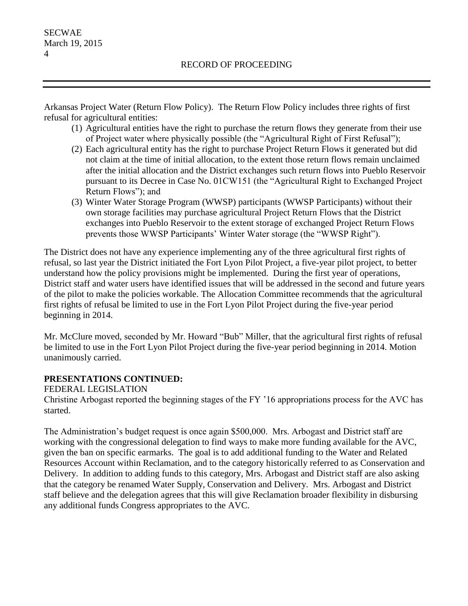Arkansas Project Water (Return Flow Policy). The Return Flow Policy includes three rights of first refusal for agricultural entities:

- (1) Agricultural entities have the right to purchase the return flows they generate from their use of Project water where physically possible (the "Agricultural Right of First Refusal");
- (2) Each agricultural entity has the right to purchase Project Return Flows it generated but did not claim at the time of initial allocation, to the extent those return flows remain unclaimed after the initial allocation and the District exchanges such return flows into Pueblo Reservoir pursuant to its Decree in Case No. 01CW151 (the "Agricultural Right to Exchanged Project Return Flows"); and
- (3) Winter Water Storage Program (WWSP) participants (WWSP Participants) without their own storage facilities may purchase agricultural Project Return Flows that the District exchanges into Pueblo Reservoir to the extent storage of exchanged Project Return Flows prevents those WWSP Participants' Winter Water storage (the "WWSP Right").

The District does not have any experience implementing any of the three agricultural first rights of refusal, so last year the District initiated the Fort Lyon Pilot Project, a five-year pilot project, to better understand how the policy provisions might be implemented. During the first year of operations, District staff and water users have identified issues that will be addressed in the second and future years of the pilot to make the policies workable. The Allocation Committee recommends that the agricultural first rights of refusal be limited to use in the Fort Lyon Pilot Project during the five-year period beginning in 2014.

Mr. McClure moved, seconded by Mr. Howard "Bub" Miller, that the agricultural first rights of refusal be limited to use in the Fort Lyon Pilot Project during the five-year period beginning in 2014. Motion unanimously carried.

## **PRESENTATIONS CONTINUED:**

FEDERAL LEGISLATION

Christine Arbogast reported the beginning stages of the FY '16 appropriations process for the AVC has started.

The Administration's budget request is once again \$500,000. Mrs. Arbogast and District staff are working with the congressional delegation to find ways to make more funding available for the AVC, given the ban on specific earmarks. The goal is to add additional funding to the Water and Related Resources Account within Reclamation, and to the category historically referred to as Conservation and Delivery. In addition to adding funds to this category, Mrs. Arbogast and District staff are also asking that the category be renamed Water Supply, Conservation and Delivery. Mrs. Arbogast and District staff believe and the delegation agrees that this will give Reclamation broader flexibility in disbursing any additional funds Congress appropriates to the AVC.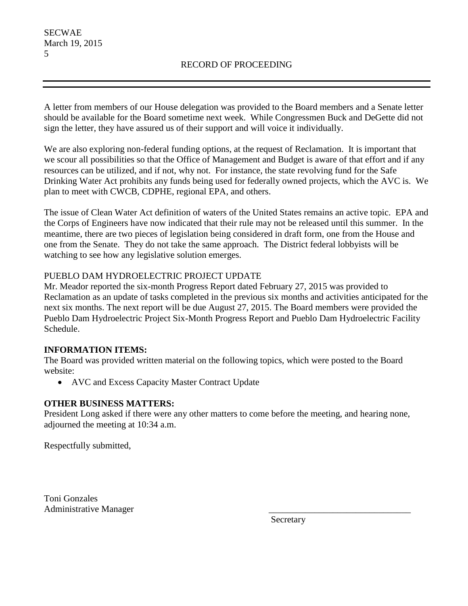A letter from members of our House delegation was provided to the Board members and a Senate letter should be available for the Board sometime next week. While Congressmen Buck and DeGette did not sign the letter, they have assured us of their support and will voice it individually.

We are also exploring non-federal funding options, at the request of Reclamation. It is important that we scour all possibilities so that the Office of Management and Budget is aware of that effort and if any resources can be utilized, and if not, why not. For instance, the state revolving fund for the Safe Drinking Water Act prohibits any funds being used for federally owned projects, which the AVC is. We plan to meet with CWCB, CDPHE, regional EPA, and others.

The issue of Clean Water Act definition of waters of the United States remains an active topic. EPA and the Corps of Engineers have now indicated that their rule may not be released until this summer. In the meantime, there are two pieces of legislation being considered in draft form, one from the House and one from the Senate. They do not take the same approach. The District federal lobbyists will be watching to see how any legislative solution emerges.

# PUEBLO DAM HYDROELECTRIC PROJECT UPDATE

Mr. Meador reported the six-month Progress Report dated February 27, 2015 was provided to Reclamation as an update of tasks completed in the previous six months and activities anticipated for the next six months. The next report will be due August 27, 2015. The Board members were provided the Pueblo Dam Hydroelectric Project Six-Month Progress Report and Pueblo Dam Hydroelectric Facility Schedule.

## **INFORMATION ITEMS:**

The Board was provided written material on the following topics, which were posted to the Board website:

• AVC and Excess Capacity Master Contract Update

## **OTHER BUSINESS MATTERS:**

President Long asked if there were any other matters to come before the meeting, and hearing none, adjourned the meeting at 10:34 a.m.

Respectfully submitted,

Toni Gonzales Administrative Manager \_\_\_\_\_\_\_\_\_\_\_\_\_\_\_\_\_\_\_\_\_\_\_\_\_\_\_\_\_\_\_

Secretary